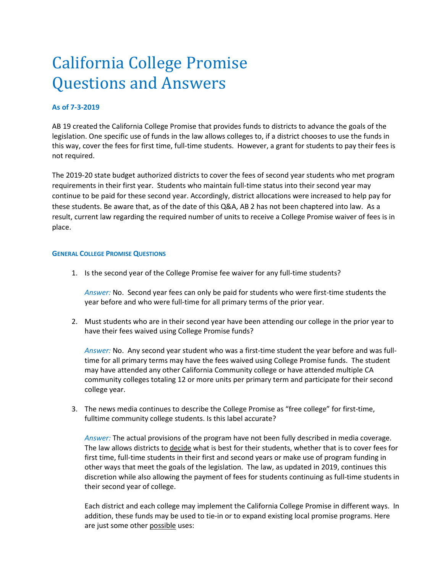## **As of 7-3-2019**

AB 19 created the California College Promise that provides funds to districts to advance the goals of the legislation. One specific use of funds in the law allows colleges to, if a district chooses to use the funds in this way, cover the fees for first time, full-time students. However, a grant for students to pay their fees is not required.

The 2019-20 state budget authorized districts to cover the fees of second year students who met program requirements in their first year. Students who maintain full-time status into their second year may continue to be paid for these second year. Accordingly, district allocations were increased to help pay for these students. Be aware that, as of the date of this Q&A, AB 2 has not been chaptered into law. As a result, current law regarding the required number of units to receive a College Promise waiver of fees is in place.

#### **GENERAL COLLEGE PROMISE QUESTIONS**

1. Is the second year of the College Promise fee waiver for any full-time students?

*Answer:* No. Second year fees can only be paid for students who were first-time students the year before and who were full-time for all primary terms of the prior year.

2. Must students who are in their second year have been attending our college in the prior year to have their fees waived using College Promise funds?

*Answer:* No. Any second year student who was a first-time student the year before and was fulltime for all primary terms may have the fees waived using College Promise funds. The student may have attended any other California Community college or have attended multiple CA community colleges totaling 12 or more units per primary term and participate for their second college year.

3. The news media continues to describe the College Promise as "free college" for first-time, fulltime community college students. Is this label accurate?

*Answer:* The actual provisions of the program have not been fully described in media coverage. The law allows districts to decide what is best for their students, whether that is to cover fees for first time, full-time students in their first and second years or make use of program funding in other ways that meet the goals of the legislation. The law, as updated in 2019, continues this discretion while also allowing the payment of fees for students continuing as full-time students in their second year of college.

Each district and each college may implement the California College Promise in different ways. In addition, these funds may be used to tie-in or to expand existing local promise programs. Here are just some other possible uses: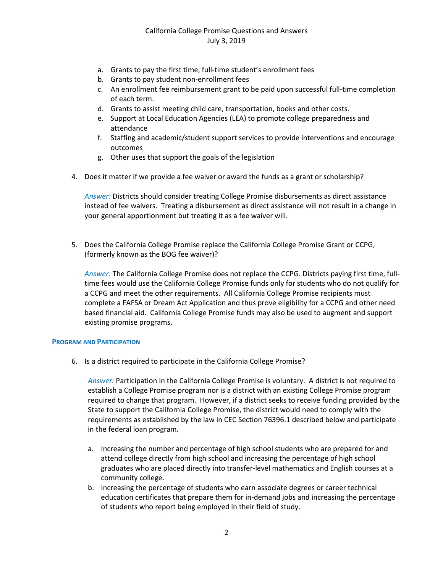- a. Grants to pay the first time, full-time student's enrollment fees
- b. Grants to pay student non-enrollment fees
- c. An enrollment fee reimbursement grant to be paid upon successful full-time completion of each term.
- d. Grants to assist meeting child care, transportation, books and other costs.
- e. Support at Local Education Agencies (LEA) to promote college preparedness and attendance
- f. Staffing and academic/student support services to provide interventions and encourage outcomes
- g. Other uses that support the goals of the legislation
- 4. Does it matter if we provide a fee waiver or award the funds as a grant or scholarship?

*Answer:* Districts should consider treating College Promise disbursements as direct assistance instead of fee waivers. Treating a disbursement as direct assistance will not result in a change in your general apportionment but treating it as a fee waiver will.

5. Does the California College Promise replace the California College Promise Grant or CCPG, (formerly known as the BOG fee waiver)?

*Answer:* The California College Promise does not replace the CCPG. Districts paying first time, fulltime fees would use the California College Promise funds only for students who do not qualify for a CCPG and meet the other requirements. All California College Promise recipients must complete a FAFSA or Dream Act Application and thus prove eligibility for a CCPG and other need based financial aid. California College Promise funds may also be used to augment and support existing promise programs.

#### **PROGRAM AND PARTICIPATION**

6. Is a district required to participate in the California College Promise?

*Answer:* Participation in the California College Promise is voluntary. A district is not required to establish a College Promise program nor is a district with an existing College Promise program required to change that program. However, if a district seeks to receive funding provided by the State to support the California College Promise, the district would need to comply with the requirements as established by the law in CEC Section 76396.1 described below and participate in the federal loan program.

- a. Increasing the number and percentage of high school students who are prepared for and attend college directly from high school and increasing the percentage of high school graduates who are placed directly into transfer-level mathematics and English courses at a community college.
- b. Increasing the percentage of students who earn associate degrees or career technical education certificates that prepare them for in-demand jobs and increasing the percentage of students who report being employed in their field of study.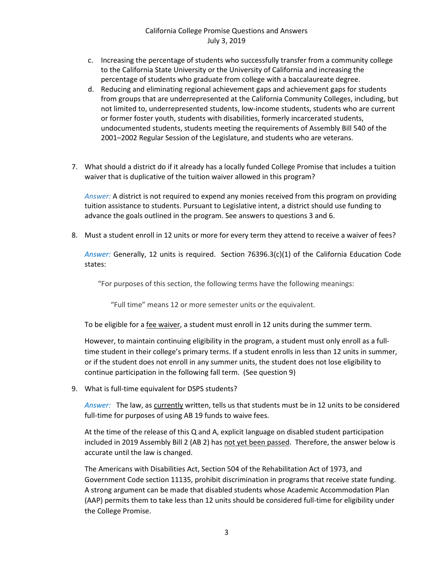- c. Increasing the percentage of students who successfully transfer from a community college to the California State University or the University of California and increasing the percentage of students who graduate from college with a baccalaureate degree.
- d. Reducing and eliminating regional achievement gaps and achievement gaps for students from groups that are underrepresented at the California Community Colleges, including, but not limited to, underrepresented students, low-income students, students who are current or former foster youth, students with disabilities, formerly incarcerated students, undocumented students, students meeting the requirements of Assembly Bill 540 of the 2001–2002 Regular Session of the Legislature, and students who are veterans.
- 7. What should a district do if it already has a locally funded College Promise that includes a tuition waiver that is duplicative of the tuition waiver allowed in this program?

*Answer:* A district is not required to expend any monies received from this program on providing tuition assistance to students. Pursuant to Legislative intent, a district should use funding to advance the goals outlined in the program. See answers to questions 3 and 6.

8. Must a student enroll in 12 units or more for every term they attend to receive a waiver of fees?

*Answer:* Generally, 12 units is required. Section 76396.3(c)(1) of the California Education Code states:

"For purposes of this section, the following terms have the following meanings:

"Full time" means 12 or more semester units or the equivalent.

To be eligible for a fee waiver, a student must enroll in 12 units during the summer term.

However, to maintain continuing eligibility in the program, a student must only enroll as a fulltime student in their college's primary terms. If a student enrolls in less than 12 units in summer, or if the student does not enroll in any summer units, the student does not lose eligibility to continue participation in the following fall term. (See question 9)

9. What is full-time equivalent for DSPS students?

*Answer:* The law, as currently written, tells us that students must be in 12 units to be considered full-time for purposes of using AB 19 funds to waive fees.

At the time of the release of this Q and A, explicit language on disabled student participation included in 2019 Assembly Bill 2 (AB 2) has not yet been passed. Therefore, the answer below is accurate until the law is changed.

The Americans with Disabilities Act, Section 504 of the Rehabilitation Act of 1973, and Government Code section 11135, prohibit discrimination in programs that receive state funding. A strong argument can be made that disabled students whose Academic Accommodation Plan (AAP) permits them to take less than 12 units should be considered full-time for eligibility under the College Promise.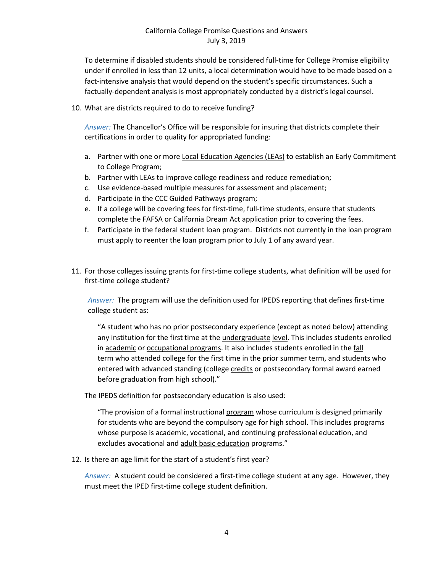To determine if disabled students should be considered full-time for College Promise eligibility under if enrolled in less than 12 units, a local determination would have to be made based on a fact-intensive analysis that would depend on the student's specific circumstances. Such a factually-dependent analysis is most appropriately conducted by a district's legal counsel.

10. What are districts required to do to receive funding?

*Answer:* The Chancellor's Office will be responsible for insuring that districts complete their certifications in order to quality for appropriated funding:

- a. Partner with one or more Local Education Agencies (LEAs) to establish an Early Commitment to College Program;
- b. Partner with LEAs to improve college readiness and reduce remediation;
- c. Use evidence-based multiple measures for assessment and placement;
- d. Participate in the CCC Guided Pathways program;
- e. If a college will be covering fees for first-time, full-time students, ensure that students complete the FAFSA or California Dream Act application prior to covering the fees.
- f. Participate in the federal student loan program. Districts not currently in the loan program must apply to reenter the loan program prior to July 1 of any award year.
- 11. For those colleges issuing grants for first-time college students, what definition will be used for first-time college student?

*Answer:* The program will use the definition used for IPEDS reporting that defines first-time college student as:

"A student who has no prior postsecondary experience (except as noted below) attending any institution for the first time at the [undergraduate](javascript:openglossary(677)) [level.](javascript:openglossary(823)) This includes students enrolled in [academic](javascript:openglossary(13)) or [occupational](javascript:openglossary(423)) [programs.](javascript:openglossary(423)) It also includes students enrolled in the [fall](javascript:openglossary(221))  [term](javascript:openglossary(221)) who attended college for the first time in the prior summer term, and students who entered with advanced standing (college [credits](javascript:openglossary(151)) or postsecondary formal award earned before graduation from high school)."

The IPEDS definition for postsecondary education is also used:

"The provision of a formal instructional [program](javascript:openglossary(515)) whose curriculum is designed primarily for students who are beyond the compulsory age for high school. This includes programs whose purpose is academic, vocational, and [continuing professional education,](javascript:openglossary(139)) and excludes avocational and [adult basic education](javascript:openglossary(35)) programs."

12. Is there an age limit for the start of a student's first year?

*Answer:* A student could be considered a first-time college student at any age. However, they must meet the IPED first-time college student definition.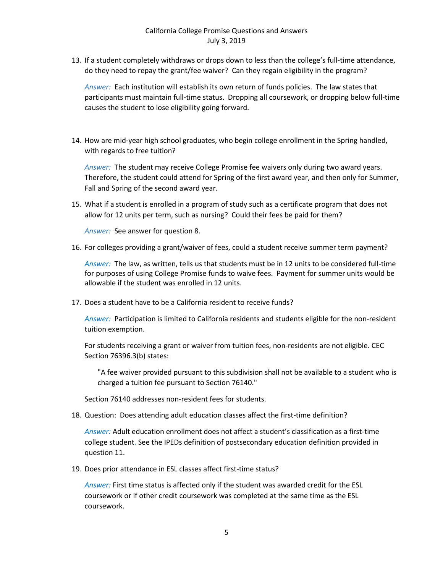13. If a student completely withdraws or drops down to less than the college's full-time attendance, do they need to repay the grant/fee waiver? Can they regain eligibility in the program?

*Answer:* Each institution will establish its own return of funds policies. The law states that participants must maintain full-time status. Dropping all coursework, or dropping below full-time causes the student to lose eligibility going forward.

14. How are mid-year high school graduates, who begin college enrollment in the Spring handled, with regards to free tuition?

*Answer:* The student may receive College Promise fee waivers only during two award years. Therefore, the student could attend for Spring of the first award year, and then only for Summer, Fall and Spring of the second award year.

15. What if a student is enrolled in a program of study such as a certificate program that does not allow for 12 units per term, such as nursing? Could their fees be paid for them?

*Answer:* See answer for question 8.

16. For colleges providing a grant/waiver of fees, could a student receive summer term payment?

*Answer:* The law, as written, tells us that students must be in 12 units to be considered full-time for purposes of using College Promise funds to waive fees. Payment for summer units would be allowable if the student was enrolled in 12 units.

17. Does a student have to be a California resident to receive funds?

*Answer:* Participation is limited to California residents and students eligible for the non-resident tuition exemption.

For students receiving a grant or waiver from tuition fees, non-residents are not eligible. CEC Section 76396.3(b) states:

"A fee waiver provided pursuant to this subdivision shall not be available to a student who is charged a tuition fee pursuant to Section 76140."

Section 76140 addresses non-resident fees for students.

18. Question: Does attending adult education classes affect the first-time definition?

*Answer:* Adult education enrollment does not affect a student's classification as a first-time college student. See the IPEDs definition of postsecondary education definition provided in question 11.

19. Does prior attendance in ESL classes affect first-time status?

*Answer:* First time status is affected only if the student was awarded credit for the ESL coursework or if other credit coursework was completed at the same time as the ESL coursework.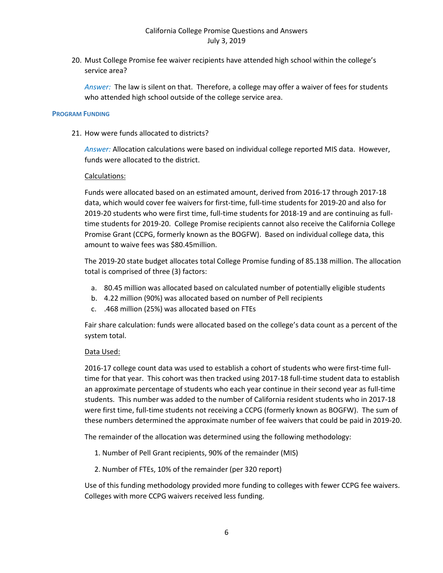20. Must College Promise fee waiver recipients have attended high school within the college's service area?

*Answer:* The law is silent on that. Therefore, a college may offer a waiver of fees for students who attended high school outside of the college service area.

#### **PROGRAM FUNDING**

21. How were funds allocated to districts?

*Answer:* Allocation calculations were based on individual college reported MIS data. However, funds were allocated to the district.

#### Calculations:

Funds were allocated based on an estimated amount, derived from 2016-17 through 2017-18 data, which would cover fee waivers for first-time, full-time students for 2019-20 and also for 2019-20 students who were first time, full-time students for 2018-19 and are continuing as fulltime students for 2019-20. College Promise recipients cannot also receive the California College Promise Grant (CCPG, formerly known as the BOGFW). Based on individual college data, this amount to waive fees was \$80.45million.

The 2019-20 state budget allocates total College Promise funding of 85.138 million. The allocation total is comprised of three (3) factors:

- a. 80.45 million was allocated based on calculated number of potentially eligible students
- b. 4.22 million (90%) was allocated based on number of Pell recipients
- c. .468 million (25%) was allocated based on FTEs

Fair share calculation: funds were allocated based on the college's data count as a percent of the system total.

#### Data Used:

2016-17 college count data was used to establish a cohort of students who were first-time fulltime for that year. This cohort was then tracked using 2017-18 full-time student data to establish an approximate percentage of students who each year continue in their second year as full-time students. This number was added to the number of California resident students who in 2017-18 were first time, full-time students not receiving a CCPG (formerly known as BOGFW). The sum of these numbers determined the approximate number of fee waivers that could be paid in 2019-20.

The remainder of the allocation was determined using the following methodology:

- 1. Number of Pell Grant recipients, 90% of the remainder (MIS)
- 2. Number of FTEs, 10% of the remainder (per 320 report)

Use of this funding methodology provided more funding to colleges with fewer CCPG fee waivers. Colleges with more CCPG waivers received less funding.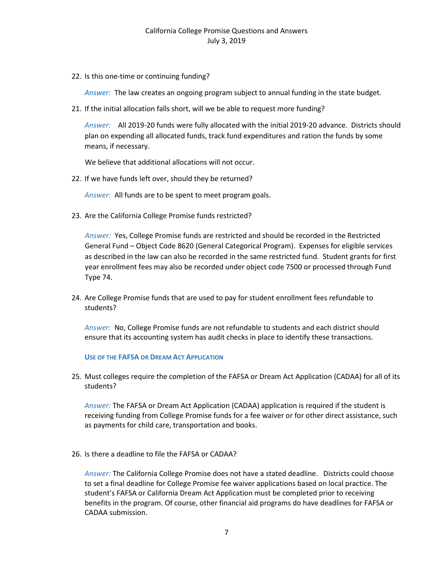22. Is this one-time or continuing funding?

*Answer:* The law creates an ongoing program subject to annual funding in the state budget.

21. If the initial allocation falls short, will we be able to request more funding?

*Answer:*All 2019-20 funds were fully allocated with the initial 2019-20 advance. Districts should plan on expending all allocated funds, track fund expenditures and ration the funds by some means, if necessary.

We believe that additional allocations will not occur.

22. If we have funds left over, should they be returned?

*Answer:* All funds are to be spent to meet program goals.

23. Are the California College Promise funds restricted?

*Answer:* Yes, College Promise funds are restricted and should be recorded in the Restricted General Fund – Object Code 8620 (General Categorical Program). Expenses for eligible services as described in the law can also be recorded in the same restricted fund. Student grants for first year enrollment fees may also be recorded under object code 7500 or processed through Fund Type 74.

24. Are College Promise funds that are used to pay for student enrollment fees refundable to students?

*Answer:* No, College Promise funds are not refundable to students and each district should ensure that its accounting system has audit checks in place to identify these transactions.

**USE OF THE FAFSA OR DREAM ACT APPLICATION**

25. Must colleges require the completion of the FAFSA or Dream Act Application (CADAA) for all of its students?

*Answer:* The FAFSA or Dream Act Application (CADAA) application is required if the student is receiving funding from College Promise funds for a fee waiver or for other direct assistance, such as payments for child care, transportation and books.

26. Is there a deadline to file the FAFSA or CADAA?

*Answer:* The California College Promise does not have a stated deadline. Districts could choose to set a final deadline for College Promise fee waiver applications based on local practice. The student's FAFSA or California Dream Act Application must be completed prior to receiving benefits in the program. Of course, other financial aid programs do have deadlines for FAFSA or CADAA submission.